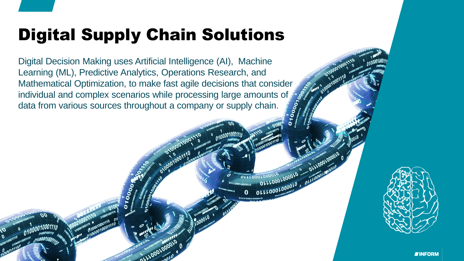# Digital Supply Chain Solutions

Digital Decision Making uses Artificial Intelligence (AI), Machine Learning (ML), Predictive Analytics, Operations Research, and Mathematical Optimization, to make fast agile decisions that consider individual and complex scenarios while processing large amounts of  $\mathcal{S}^{\bullet}$ data from various sources throughout a company or supply chain.

OLLLOODL



DLLLLOODLOO

OLLLOOOLOOOLO A

OLLLOOOLOOOOLO

**IINFORM**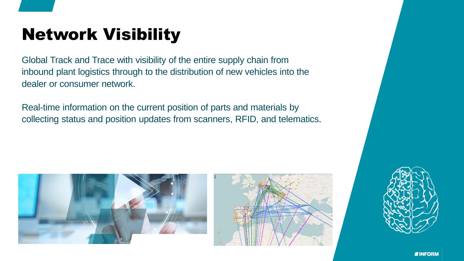# Network Visibility

Global Track and Trace with visibility of the entire supply chain from inbound plant logistics through to the distribution of new vehicles into the dealer or consumer network.

Real-time information on the current position of parts and materials by collecting status and position updates from scanners, RFID, and telematics.



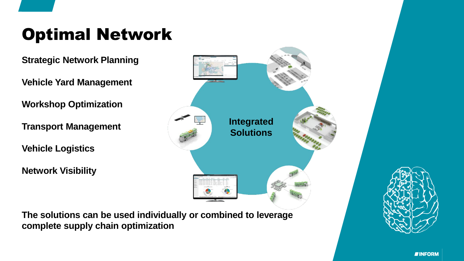# Optimal Network

**Strategic Network Planning**

**Vehicle Yard Management**

**Workshop Optimization**

**Transport Management**

**Vehicle Logistics**

**Network Visibility**

**The solutions can be used individually or combined to leverage complete supply chain optimization**



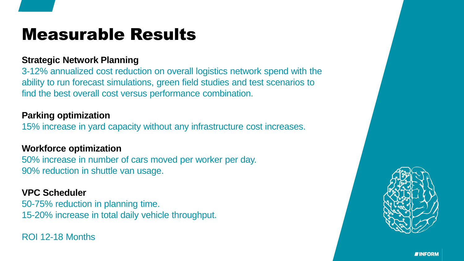### Measurable Results

#### **Strategic Network Planning**

3-12% annualized cost reduction on overall logistics network spend with the ability to run forecast simulations, green field studies and test scenarios to find the best overall cost versus performance combination.

#### **Parking optimization**

15% increase in yard capacity without any infrastructure cost increases.

#### **Workforce optimization**

50% increase in number of cars moved per worker per day. 90% reduction in shuttle van usage.

#### **VPC Scheduler**

50-75% reduction in planning time. 15-20% increase in total daily vehicle throughput.

ROI 12-18 Months



**TINFORM**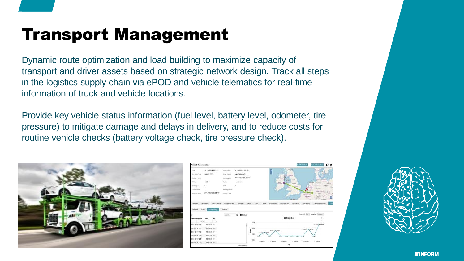## Transport Management

Dynamic route optimization and load building to maximize capacity of transport and driver assets based on strategic network design. Track all steps in the logistics supply chain via ePOD and vehicle telematics for real-time information of truck and vehicle locations.

Provide key vehicle status information (fuel level, battery level, odometer, tire pressure) to mitigate damage and delays in delivery, and to reduce costs for routine vehicle checks (battery voltage check, tire pressure check).



| Vehicle Detail Information                                                                                                 |                                                                                                   |                                                                                                                                  |                                                    |                                                                                       |                               |                                                                                                           | <b>Edit Order Data</b>                     | с<br>x<br>(di Velncie Data                                                                                                                                                                                                                 |
|----------------------------------------------------------------------------------------------------------------------------|---------------------------------------------------------------------------------------------------|----------------------------------------------------------------------------------------------------------------------------------|----------------------------------------------------|---------------------------------------------------------------------------------------|-------------------------------|-----------------------------------------------------------------------------------------------------------|--------------------------------------------|--------------------------------------------------------------------------------------------------------------------------------------------------------------------------------------------------------------------------------------------|
| VIN<br>Location Code<br>Drillwry Time:<br><b>Make</b><br>Dattages<br>Active molds<br><b>Final Location</b>                 | $4.5 - 0.025 + 0.001$<br>DUBLIN, PORT<br>ac.<br>ä<br><b>JPT FIELD GIRAGE TO</b>                   | Additional (D)<br><b>Global Startuni</b><br>Keel Location:<br><b>Model</b><br>reide<br><b>Ordering Dealer</b><br>External Color: | ON COMPOUND.<br>ATT_TEL/408.86/T2<br>ListEak<br>ø. |                                                                                       | E                             | tager<br>0<br><b>STORY</b><br><b>Seeks</b><br>Online<br>۰<br>2006<br><b>Shefford</b><br>1 mole<br>Carliff | <b>Hadwisch</b><br>$\mathcal{P}$<br>Selfon | <b>Democratic</b><br><b>Kalakham</b><br><b>Karling</b><br><b>Soliday</b><br><b><i><u>STATISTICS</u></i></b><br>Berlin<br>٠<br>Fully<br>۰<br>Navina<br><b>Deadline</b><br><b>Directors</b><br><b>Idas</b><br>Awaker<br>л<br><b>Art Many</b> |
| Locations<br><b>Furthern</b><br>63                                                                                         | Yard Orders<br>Service Orders<br>Speed<br><b><i><u>Marristus</u></i></b>                          | Trunsport Orders:<br>Odometer<br><b>Search</b>                                                                                   | Claima<br><b>Damages</b><br>Q <b>O</b> Settings    | Feesta<br><b>Holds</b>                                                                | Unit Charges                  | Continents<br>Interface Logs                                                                              | <b>Atlachments</b>                         | <b>Tale</b><br>Transport Order Lists<br>Source: Day- Goalton, Annua -                                                                                                                                                                      |
| <b>Measurement time</b>                                                                                                    | Value                                                                                             |                                                                                                                                  |                                                    |                                                                                       |                               | <b>Battery voltage</b>                                                                                    |                                            | ŝ                                                                                                                                                                                                                                          |
| 0.<br>2018-06-13 11:03<br>2018-06-14 11:04<br>2018-06-14 11:05<br>2018-06-14 11:10<br>2018-06-14 12:58<br>2018-06-14 12:58 | Ŀ<br>12.676.00 mw<br>12,676.00 mw<br>12.676.00 mw<br>12,707.00 mv<br>14,835.00 mv<br>14,865.00 mw |                                                                                                                                  | į                                                  | $+1.500$<br>57<br>14300<br>TESCS GINZ LONE!<br>13,000<br>ಂಗ<br>13,000<br>Jul 13, 2016 | <b>ISPESING</b><br>An 16 2016 | <b>CEMW</b><br><b>Hotels</b><br><b><i><u>STARS</u></i></b><br>Jan 17, 2018<br>An 19, 2010<br><b>Days</b>  | tam riscitting<br>n Ca<br>Juice Jone       | T4706 #Takesawake<br>A429.2010                                                                                                                                                                                                             |